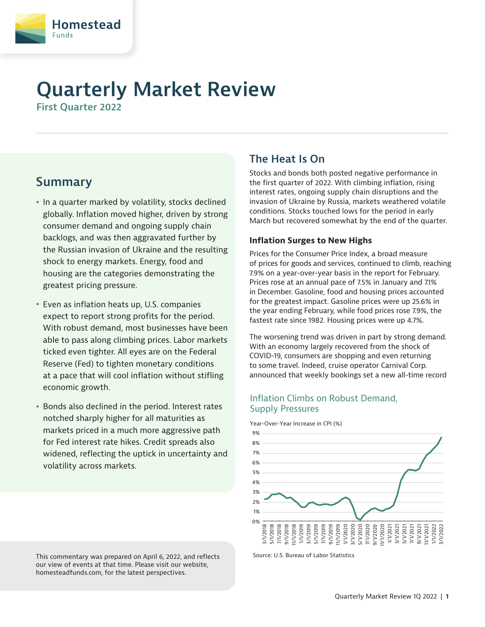

# **Quarterly Market Review**

**First Quarter 2022**

## **Summary**

- In a quarter marked by volatility, stocks declined globally. Inflation moved higher, driven by strong consumer demand and ongoing supply chain backlogs, and was then aggravated further by the Russian invasion of Ukraine and the resulting shock to energy markets. Energy, food and housing are the categories demonstrating the greatest pricing pressure.
- Even as inflation heats up, U.S. companies expect to report strong profits for the period. With robust demand, most businesses have been able to pass along climbing prices. Labor markets ticked even tighter. All eyes are on the Federal Reserve (Fed) to tighten monetary conditions at a pace that will cool inflation without stifling economic growth.
- Bonds also declined in the period. Interest rates notched sharply higher for all maturities as markets priced in a much more aggressive path for Fed interest rate hikes. Credit spreads also widened, reflecting the uptick in uncertainty and volatility across markets.

#### This commentary was prepared on April 6, 2022, and reflects our view of events at that time. Please visit our website, homesteadfunds.com, for the latest perspectives.

### **The Heat Is On**

Stocks and bonds both posted negative performance in the first quarter of 2022. With climbing inflation, rising interest rates, ongoing supply chain disruptions and the invasion of Ukraine by Russia, markets weathered volatile conditions. Stocks touched lows for the period in early March but recovered somewhat by the end of the quarter.

#### **Inflation Surges to New Highs**

Prices for the Consumer Price Index, a broad measure of prices for goods and services, continued to climb, reaching 7.9% on a year-over-year basis in the report for February. Prices rose at an annual pace of 7.5% in January and 7.1% in December. Gasoline, food and housing prices accounted for the greatest impact. Gasoline prices were up 25.6% in the year ending February, while food prices rose 7.9%, the fastest rate since 1982. Housing prices were up 4.7%.

The worsening trend was driven in part by strong demand. With an economy largely recovered from the shock of COVID-19, consumers are shopping and even returning to some travel. Indeed, cruise operator Carnival Corp. announced that weekly bookings set a new all-time record

#### Inflation Climbs on Robust Demand, Supply Pressures



Source: U.S. Bureau of Labor Statistics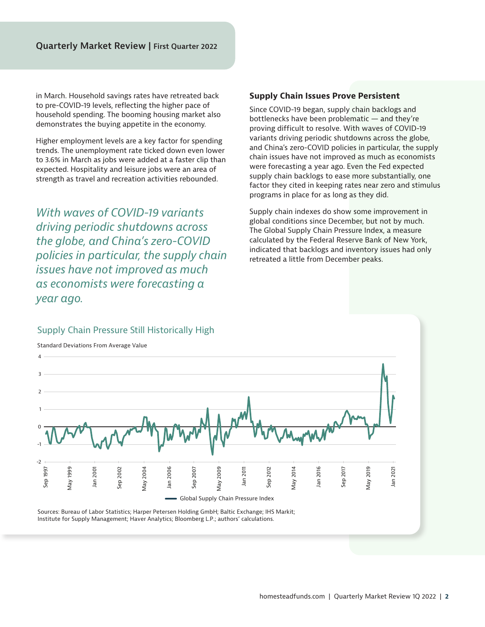in March. Household savings rates have retreated back to pre-COVID-19 levels, reflecting the higher pace of household spending. The booming housing market also demonstrates the buying appetite in the economy.

Higher employment levels are a key factor for spending trends. The unemployment rate ticked down even lower to 3.6% in March as jobs were added at a faster clip than expected. Hospitality and leisure jobs were an area of strength as travel and recreation activities rebounded.

*With waves of COVID-19 variants driving periodic shutdowns across the globe, and China's zero-COVID policies in particular, the supply chain issues have not improved as much as economists were forecasting a year ago.*

#### **Supply Chain Issues Prove Persistent**

Since COVID-19 began, supply chain backlogs and bottlenecks have been problematic — and they're proving difficult to resolve. With waves of COVID-19 variants driving periodic shutdowns across the globe, and China's zero-COVID policies in particular, the supply chain issues have not improved as much as economists were forecasting a year ago. Even the Fed expected supply chain backlogs to ease more substantially, one factor they cited in keeping rates near zero and stimulus programs in place for as long as they did.

Supply chain indexes do show some improvement in global conditions since December, but not by much. The Global Supply Chain Pressure Index, a measure calculated by the Federal Reserve Bank of New York, indicated that backlogs and inventory issues had only retreated a little from December peaks.

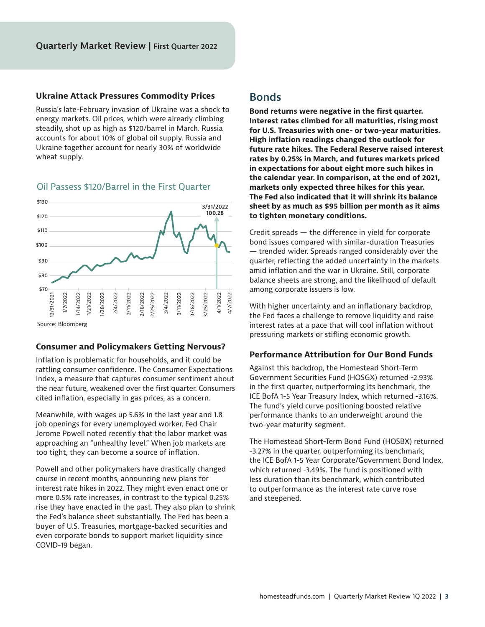#### **Ukraine Attack Pressures Commodity Prices**

Russia's late-February invasion of Ukraine was a shock to energy markets. Oil prices, which were already climbing steadily, shot up as high as \$120/barrel in March. Russia accounts for about 10% of global oil supply. Russia and Ukraine together account for nearly 30% of worldwide wheat supply.



#### Oil Passess \$120/Barrel in the First Quarter

#### **Consumer and Policymakers Getting Nervous?**

Inflation is problematic for households, and it could be rattling consumer confidence. The Consumer Expectations Index, a measure that captures consumer sentiment about the near future, weakened over the first quarter. Consumers cited inflation, especially in gas prices, as a concern.

Meanwhile, with wages up 5.6% in the last year and 1.8 job openings for every unemployed worker, Fed Chair Jerome Powell noted recently that the labor market was approaching an "unhealthy level." When job markets are too tight, they can become a source of inflation.

Powell and other policymakers have drastically changed course in recent months, announcing new plans for interest rate hikes in 2022. They might even enact one or more 0.5% rate increases, in contrast to the typical 0.25% rise they have enacted in the past. They also plan to shrink the Fed's balance sheet substantially. The Fed has been a buyer of U.S. Treasuries, mortgage-backed securities and even corporate bonds to support market liquidity since COVID-19 began.

#### **Bonds**

**Bond returns were negative in the first quarter. Interest rates climbed for all maturities, rising most for U.S. Treasuries with one- or two-year maturities. High inflation readings changed the outlook for future rate hikes. The Federal Reserve raised interest rates by 0.25% in March, and futures markets priced in expectations for about eight more such hikes in the calendar year. In comparison, at the end of 2021, markets only expected three hikes for this year. The Fed also indicated that it will shrink its balance sheet by as much as \$95 billion per month as it aims to tighten monetary conditions.** 

Credit spreads — the difference in yield for corporate bond issues compared with similar-duration Treasuries — trended wider. Spreads ranged considerably over the quarter, reflecting the added uncertainty in the markets amid inflation and the war in Ukraine. Still, corporate balance sheets are strong, and the likelihood of default among corporate issuers is low.

With higher uncertainty and an inflationary backdrop, the Fed faces a challenge to remove liquidity and raise interest rates at a pace that will cool inflation without pressuring markets or stifling economic growth.

#### **Performance Attribution for Our Bond Funds**

Against this backdrop, the Homestead Short-Term Government Securities Fund (HOSGX) returned -2.93% in the first quarter, outperforming its benchmark, the ICE BofA 1-5 Year Treasury Index, which returned -3.16%. The fund's yield curve positioning boosted relative performance thanks to an underweight around the two-year maturity segment.

The Homestead Short-Term Bond Fund (HOSBX) returned -3.27% in the quarter, outperforming its benchmark, the ICE BofA 1-5 Year Corporate/Government Bond Index, which returned -3.49%. The fund is positioned with less duration than its benchmark, which contributed to outperformance as the interest rate curve rose and steepened.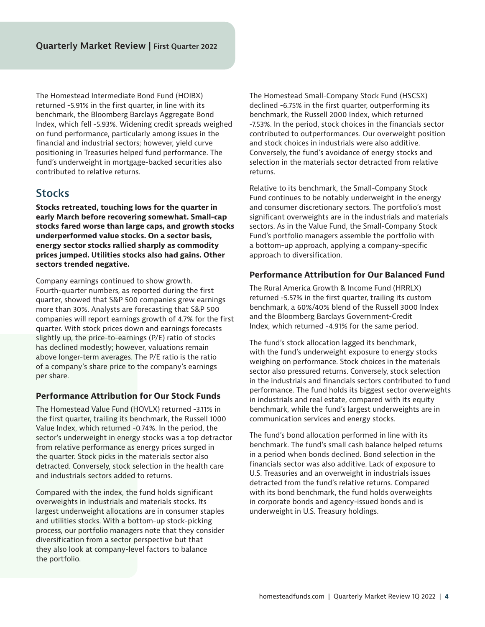The Homestead Intermediate Bond Fund (HOIBX) returned -5.91% in the first quarter, in line with its benchmark, the Bloomberg Barclays Aggregate Bond Index, which fell -5.93%. Widening credit spreads weighed on fund performance, particularly among issues in the financial and industrial sectors; however, yield curve positioning in Treasuries helped fund performance. The fund's underweight in mortgage-backed securities also contributed to relative returns.

### **Stocks**

**Stocks retreated, touching lows for the quarter in early March before recovering somewhat. Small-cap stocks fared worse than large caps, and growth stocks underperformed value stocks. On a sector basis, energy sector stocks rallied sharply as commodity prices jumped. Utilities stocks also had gains. Other sectors trended negative.**

Company earnings continued to show growth. Fourth-quarter numbers, as reported during the first quarter, showed that S&P 500 companies grew earnings more than 30%. Analysts are forecasting that S&P 500 companies will report earnings growth of 4.7% for the first quarter. With stock prices down and earnings forecasts slightly up, the price-to-earnings (P/E) ratio of stocks has declined modestly; however, valuations remain above longer-term averages. The P/E ratio is the ratio of a company's share price to the company's earnings per share.

#### **Performance Attribution for Our Stock Funds**

The Homestead Value Fund (HOVLX) returned -3.11% in the first quarter, trailing its benchmark, the Russell 1000 Value Index, which returned -0.74%. In the period, the sector's underweight in energy stocks was a top detractor from relative performance as energy prices surged in the quarter. Stock picks in the materials sector also detracted. Conversely, stock selection in the health care and industrials sectors added to returns.

Compared with the index, the fund holds significant overweights in industrials and materials stocks. Its largest underweight allocations are in consumer staples and utilities stocks. With a bottom-up stock-picking process, our portfolio managers note that they consider diversification from a sector perspective but that they also look at company-level factors to balance the portfolio.

The Homestead Small-Company Stock Fund (HSCSX) declined -6.75% in the first quarter, outperforming its benchmark, the Russell 2000 Index, which returned -7.53%. In the period, stock choices in the financials sector contributed to outperformances. Our overweight position and stock choices in industrials were also additive. Conversely, the fund's avoidance of energy stocks and selection in the materials sector detracted from relative returns.

Relative to its benchmark, the Small-Company Stock Fund continues to be notably underweight in the energy and consumer discretionary sectors. The portfolio's most significant overweights are in the industrials and materials sectors. As in the Value Fund, the Small-Company Stock Fund's portfolio managers assemble the portfolio with a bottom-up approach, applying a company-specific approach to diversification.

#### **Performance Attribution for Our Balanced Fund**

The Rural America Growth & Income Fund (HRRLX) returned -5.57% in the first quarter, trailing its custom benchmark, a 60%/40% blend of the Russell 3000 Index and the Bloomberg Barclays Government-Credit Index, which returned -4.91% for the same period.

The fund's stock allocation lagged its benchmark, with the fund's underweight exposure to energy stocks weighing on performance. Stock choices in the materials sector also pressured returns. Conversely, stock selection in the industrials and financials sectors contributed to fund performance. The fund holds its biggest sector overweights in industrials and real estate, compared with its equity benchmark, while the fund's largest underweights are in communication services and energy stocks.

The fund's bond allocation performed in line with its benchmark. The fund's small cash balance helped returns in a period when bonds declined. Bond selection in the financials sector was also additive. Lack of exposure to U.S. Treasuries and an overweight in industrials issues detracted from the fund's relative returns. Compared with its bond benchmark, the fund holds overweights in corporate bonds and agency-issued bonds and is underweight in U.S. Treasury holdings.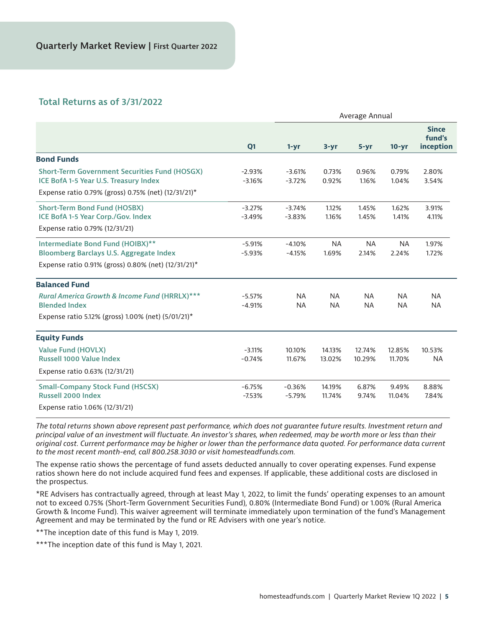#### **Total Returns as of 3/31/2022**

|                                                                                                                                           |                      | Average Annual         |                        |                        |                        |                                            |
|-------------------------------------------------------------------------------------------------------------------------------------------|----------------------|------------------------|------------------------|------------------------|------------------------|--------------------------------------------|
|                                                                                                                                           | Q1                   | $1 - yr$               | $3 - yr$               | $5 - yr$               | $10 - yr$              | <b>Since</b><br>fund's<br><i>inception</i> |
| <b>Bond Funds</b>                                                                                                                         |                      |                        |                        |                        |                        |                                            |
| <b>Short-Term Government Securities Fund (HOSGX)</b><br>ICE BofA 1-5 Year U.S. Treasury Index                                             | $-2.93%$<br>$-3.16%$ | $-3.61%$<br>$-3.72%$   | 0.73%<br>0.92%         | 0.96%<br>1.16%         | 0.79%<br>1.04%         | 2.80%<br>3.54%                             |
| Expense ratio 0.79% (gross) 0.75% (net) (12/31/21)*                                                                                       |                      |                        |                        |                        |                        |                                            |
| <b>Short-Term Bond Fund (HOSBX)</b><br>ICE BofA 1-5 Year Corp./Gov. Index<br>Expense ratio 0.79% (12/31/21)                               | $-3.27%$<br>$-3.49%$ | $-3.74%$<br>$-3.83%$   | 1.12%<br>1.16%         | 1.45%<br>1.45%         | 1.62%<br>1.41%         | 3.91%<br>4.11%                             |
| Intermediate Bond Fund (HOIBX)**<br><b>Bloomberg Barclays U.S. Aggregate Index</b><br>Expense ratio 0.91% (gross) 0.80% (net) (12/31/21)* | $-5.91%$<br>$-5.93%$ | $-4.10%$<br>$-4.15%$   | <b>NA</b><br>1.69%     | <b>NA</b><br>2.14%     | <b>NA</b><br>2.24%     | 1.97%<br>1.72%                             |
| <b>Balanced Fund</b>                                                                                                                      |                      |                        |                        |                        |                        |                                            |
| <b>Rural America Growth &amp; Income Fund (HRRLX)***</b><br><b>Blended Index</b>                                                          | $-5.57%$<br>$-4.91%$ | <b>NA</b><br><b>NA</b> | <b>NA</b><br><b>NA</b> | <b>NA</b><br><b>NA</b> | <b>NA</b><br><b>NA</b> | <b>NA</b><br><b>NA</b>                     |
| Expense ratio 5.12% (gross) 1.00% (net) (5/01/21)*                                                                                        |                      |                        |                        |                        |                        |                                            |
| <b>Equity Funds</b>                                                                                                                       |                      |                        |                        |                        |                        |                                            |
| <b>Value Fund (HOVLX)</b><br><b>Russell 1000 Value Index</b>                                                                              | $-3.11%$<br>$-0.74%$ | 10.10%<br>11.67%       | 14.13%<br>13.02%       | 12.74%<br>10.29%       | 12.85%<br>11.70%       | 10.53%<br><b>NA</b>                        |
| Expense ratio 0.63% (12/31/21)                                                                                                            |                      |                        |                        |                        |                        |                                            |
| <b>Small-Company Stock Fund (HSCSX)</b><br><b>Russell 2000 Index</b>                                                                      | $-6.75%$<br>$-7.53%$ | $-0.36%$<br>$-5.79%$   | 14.19%<br>11.74%       | 6.87%<br>9.74%         | 9.49%<br>11.04%        | 8.88%<br>7.84%                             |
| Expense ratio 1.06% (12/31/21)                                                                                                            |                      |                        |                        |                        |                        |                                            |

*The total returns shown above represent past performance, which does not guarantee future results. Investment return and principal value of an investment will fluctuate. An investor's shares, when redeemed, may be worth more or less than their original cost. Current performance may be higher or lower than the performance data quoted. For performance data current to the most recent month-end, call 800.258.3030 or visit homesteadfunds.com.*

The expense ratio shows the percentage of fund assets deducted annually to cover operating expenses. Fund expense ratios shown here do not include acquired fund fees and expenses. If applicable, these additional costs are disclosed in the prospectus.

\*RE Advisers has contractually agreed, through at least May 1, 2022, to limit the funds' operating expenses to an amount not to exceed 0.75% (Short-Term Government Securities Fund), 0.80% (Intermediate Bond Fund) or 1.00% (Rural America Growth & Income Fund). This waiver agreement will terminate immediately upon termination of the fund's Management Agreement and may be terminated by the fund or RE Advisers with one year's notice.

\*\*The inception date of this fund is May 1, 2019.

\*\*\*The inception date of this fund is May 1, 2021.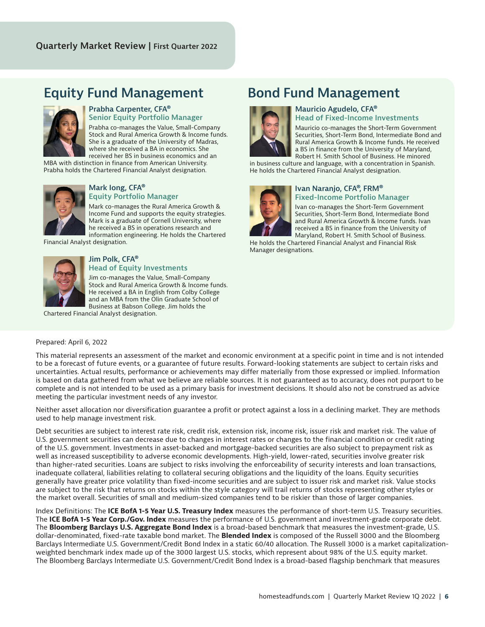## **Equity Fund Management Bond Fund Management**



#### **Prabha Carpenter, CFA® Senior Equity Portfolio Manager**

Prabha co-manages the Value, Small-Company Stock and Rural America Growth & Income funds. She is a graduate of the University of Madras, where she received a BA in economics. She received her BS in business economics and an

MBA with distinction in finance from American University. Prabha holds the Chartered Financial Analyst designation.



#### **Mark Iong, CFA® Equity Portfolio Manager**

Mark co-manages the Rural America Growth & Income Fund and supports the equity strategies. Mark is a graduate of Cornell University, where he received a BS in operations research and information engineering. He holds the Chartered

Financial Analyst designation.



#### **Jim Polk, CFA® Head of Equity Investments**

Jim co-manages the Value, Small-Company Stock and Rural America Growth & Income funds. He received a BA in English from Colby College and an MBA from the Olin Graduate School of Business at Babson College. Jim holds the

Chartered Financial Analyst designation.



#### **Mauricio Agudelo, CFA® Head of Fixed-Income Investments**

Mauricio co-manages the Short-Term Government Securities, Short-Term Bond, Intermediate Bond and Rural America Growth & Income funds. He received a BS in finance from the University of Maryland, Robert H. Smith School of Business. He minored

in business culture and language, with a concentration in Spanish. He holds the Chartered Financial Analyst designation.



#### **Ivan Naranjo, CFA®, FRM® Fixed-Income Portfolio Manager**

Ivan co-manages the Short-Term Government Securities, Short-Term Bond, Intermediate Bond and Rural America Growth & Income funds. Ivan received a BS in finance from the University of Maryland, Robert H. Smith School of Business.

He holds the Chartered Financial Analyst and Financial Risk Manager designations.

#### Prepared: April 6, 2022

This material represents an assessment of the market and economic environment at a specific point in time and is not intended to be a forecast of future events, or a guarantee of future results. Forward-looking statements are subject to certain risks and uncertainties. Actual results, performance or achievements may differ materially from those expressed or implied. Information is based on data gathered from what we believe are reliable sources. It is not guaranteed as to accuracy, does not purport to be complete and is not intended to be used as a primary basis for investment decisions. It should also not be construed as advice meeting the particular investment needs of any investor.

Neither asset allocation nor diversification guarantee a profit or protect against a loss in a declining market. They are methods used to help manage investment risk.

Debt securities are subject to interest rate risk, credit risk, extension risk, income risk, issuer risk and market risk. The value of U.S. government securities can decrease due to changes in interest rates or changes to the financial condition or credit rating of the U.S. government. Investments in asset-backed and mortgage-backed securities are also subject to prepayment risk as well as increased susceptibility to adverse economic developments. High-yield, lower-rated, securities involve greater risk than higher-rated securities. Loans are subject to risks involving the enforceability of security interests and loan transactions, inadequate collateral, liabilities relating to collateral securing obligations and the liquidity of the loans. Equity securities generally have greater price volatility than fixed-income securities and are subject to issuer risk and market risk. Value stocks are subject to the risk that returns on stocks within the style category will trail returns of stocks representing other styles or the market overall. Securities of small and medium-sized companies tend to be riskier than those of larger companies.

Index Definitions: The **ICE BofA 1-5 Year U.S. Treasury Index** measures the performance of short-term U.S. Treasury securities. The **ICE BofA 1-5 Year Corp./Gov. Index** measures the performance of U.S. government and investment-grade corporate debt. The **Bloomberg Barclays U.S. Aggregate Bond Index** is a broad-based benchmark that measures the investment-grade, U.S. dollar-denominated, fixed-rate taxable bond market. The **Blended Index** is composed of the Russell 3000 and the Bloomberg Barclays Intermediate U.S. Government/Credit Bond Index in a static 60/40 allocation. The Russell 3000 is a market capitalizationweighted benchmark index made up of the 3000 largest U.S. stocks, which represent about 98% of the U.S. equity market. The Bloomberg Barclays Intermediate U.S. Government/Credit Bond Index is a broad-based flagship benchmark that measures